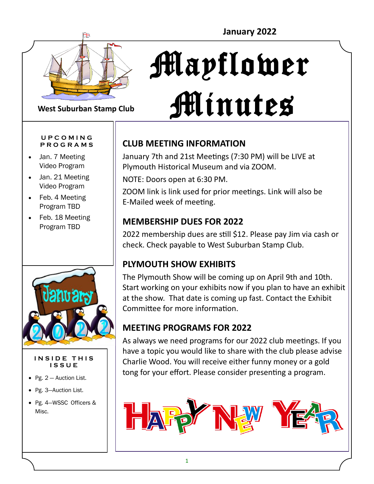

# Mayflower Minutes

#### **West Suburban Stamp Club**

#### **U P C O M I N G P R O G R A M S**

- Jan. 7 Meeting Video Program
- Jan. 21 Meeting Video Program
- Feb. 4 Meeting Program TBD
- Feb. 18 Meeting Program TBD



#### **INSIDE THIS I S S U E**

- Pg. 2 Auction List.
- Pg. 3—Auction List.
- Pg. 4—WSSC Officers & Misc.

### **CLUB MEETING INFORMATION**

January 7th and 21st Meetings (7:30 PM) will be LIVE at Plymouth Historical Museum and via ZOOM.

NOTE: Doors open at 6:30 PM.

ZOOM link is link used for prior meetings. Link will also be E-Mailed week of meeting.

### **MEMBERSHIP DUES FOR 2022**

2022 membership dues are still \$12. Please pay Jim via cash or check. Check payable to West Suburban Stamp Club.

### **PLYMOUTH SHOW EXHIBITS**

The Plymouth Show will be coming up on April 9th and 10th. Start working on your exhibits now if you plan to have an exhibit at the show. That date is coming up fast. Contact the Exhibit Committee for more information.

### **MEETING PROGRAMS FOR 2022**

As always we need programs for our 2022 club meetings. If you have a topic you would like to share with the club please advise Charlie Wood. You will receive either funny money or a gold tong for your effort. Please consider presenting a program.

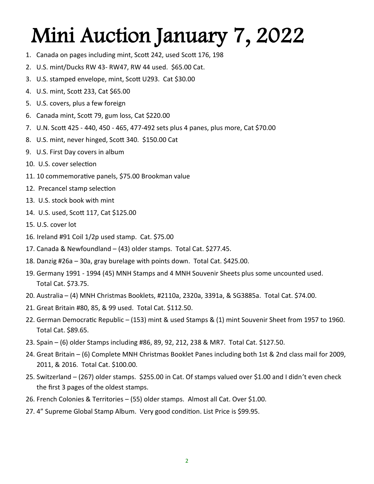## Mini Auction January 7, 2022

- 1. Canada on pages including mint, Scott 242, used Scott 176, 198
- 2. U.S. mint/Ducks RW 43- RW47, RW 44 used. \$65.00 Cat.
- 3. U.S. stamped envelope, mint, Scott U293. Cat \$30.00
- 4. U.S. mint, Scott 233, Cat \$65.00
- 5. U.S. covers, plus a few foreign
- 6. Canada mint, Scott 79, gum loss, Cat \$220.00
- 7. U.N. Scott 425 440, 450 465, 477-492 sets plus 4 panes, plus more, Cat \$70.00
- 8. U.S. mint, never hinged, Scott 340. \$150.00 Cat
- 9. U.S. First Day covers in album
- 10. U.S. cover selection
- 11. 10 commemorative panels, \$75.00 Brookman value
- 12. Precancel stamp selection
- 13. U.S. stock book with mint
- 14. U.S. used, Scott 117, Cat \$125.00
- 15. U.S. cover lot
- 16. Ireland #91 Coil 1/2p used stamp. Cat. \$75.00
- 17. Canada & Newfoundland (43) older stamps. Total Cat. \$277.45.
- 18. Danzig #26a 30a, gray burelage with points down. Total Cat. \$425.00.
- 19. Germany 1991 1994 (45) MNH Stamps and 4 MNH Souvenir Sheets plus some uncounted used. Total Cat. \$73.75.
- 20. Australia (4) MNH Christmas Booklets, #2110a, 2320a, 3391a, & SG3885a. Total Cat. \$74.00.
- 21. Great Britain #80, 85, & 99 used. Total Cat. \$112.50.
- 22. German Democratic Republic (153) mint & used Stamps & (1) mint Souvenir Sheet from 1957 to 1960. Total Cat. \$89.65.
- 23. Spain (6) older Stamps including #86, 89, 92, 212, 238 & MR7. Total Cat. \$127.50.
- 24. Great Britain (6) Complete MNH Christmas Booklet Panes including both 1st & 2nd class mail for 2009, 2011, & 2016. Total Cat. \$100.00.
- 25. Switzerland (267) older stamps. \$255.00 in Cat. Of stamps valued over \$1.00 and I didn't even check the first 3 pages of the oldest stamps.
- 26. French Colonies & Territories (55) older stamps. Almost all Cat. Over \$1.00.
- 27. 4" Supreme Global Stamp Album. Very good condition. List Price is \$99.95.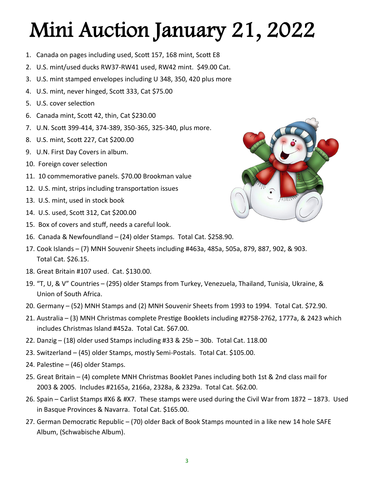# Mini Auction January 21, 2022

- 1. Canada on pages including used, Scott 157, 168 mint, Scott E8
- 2. U.S. mint/used ducks RW37-RW41 used, RW42 mint. \$49.00 Cat.
- 3. U.S. mint stamped envelopes including U 348, 350, 420 plus more
- 4. U.S. mint, never hinged, Scott 333, Cat \$75.00
- 5. U.S. cover selection
- 6. Canada mint, Scott 42, thin, Cat \$230.00
- 7. U.N. Scott 399-414, 374-389, 350-365, 325-340, plus more.
- 8. U.S. mint, Scott 227, Cat \$200.00
- 9. U.N. First Day Covers in album.
- 10. Foreign cover selection
- 11. 10 commemorative panels. \$70.00 Brookman value
- 12. U.S. mint, strips including transportation issues
- 13. U.S. mint, used in stock book
- 14. U.S. used, Scott 312, Cat \$200.00
- 15. Box of covers and stuff, needs a careful look.
- 16. Canada & Newfoundland (24) older Stamps. Total Cat. \$258.90.
- 17. Cook Islands (7) MNH Souvenir Sheets including #463a, 485a, 505a, 879, 887, 902, & 903. Total Cat. \$26.15.
- 18. Great Britain #107 used. Cat. \$130.00.
- 19. "T, U, & V" Countries (295) older Stamps from Turkey, Venezuela, Thailand, Tunisia, Ukraine, & Union of South Africa.
- 20. Germany (52) MNH Stamps and (2) MNH Souvenir Sheets from 1993 to 1994. Total Cat. \$72.90.
- 21. Australia (3) MNH Christmas complete Prestige Booklets including #2758-2762, 1777a, & 2423 which includes Christmas Island #452a. Total Cat. \$67.00.
- 22. Danzig (18) older used Stamps including #33 & 25b 30b. Total Cat. 118.00
- 23. Switzerland (45) older Stamps, mostly Semi-Postals. Total Cat. \$105.00.
- 24. Palestine (46) older Stamps.
- 25. Great Britain (4) complete MNH Christmas Booklet Panes including both 1st & 2nd class mail for 2003 & 2005. Includes #2165a, 2166a, 2328a, & 2329a. Total Cat. \$62.00.
- 26. Spain Carlist Stamps #X6 & #X7. These stamps were used during the Civil War from 1872 1873. Used in Basque Provinces & Navarra. Total Cat. \$165.00.
- 27. German Democratic Republic (70) older Back of Book Stamps mounted in a like new 14 hole SAFE Album, (Schwabische Album).